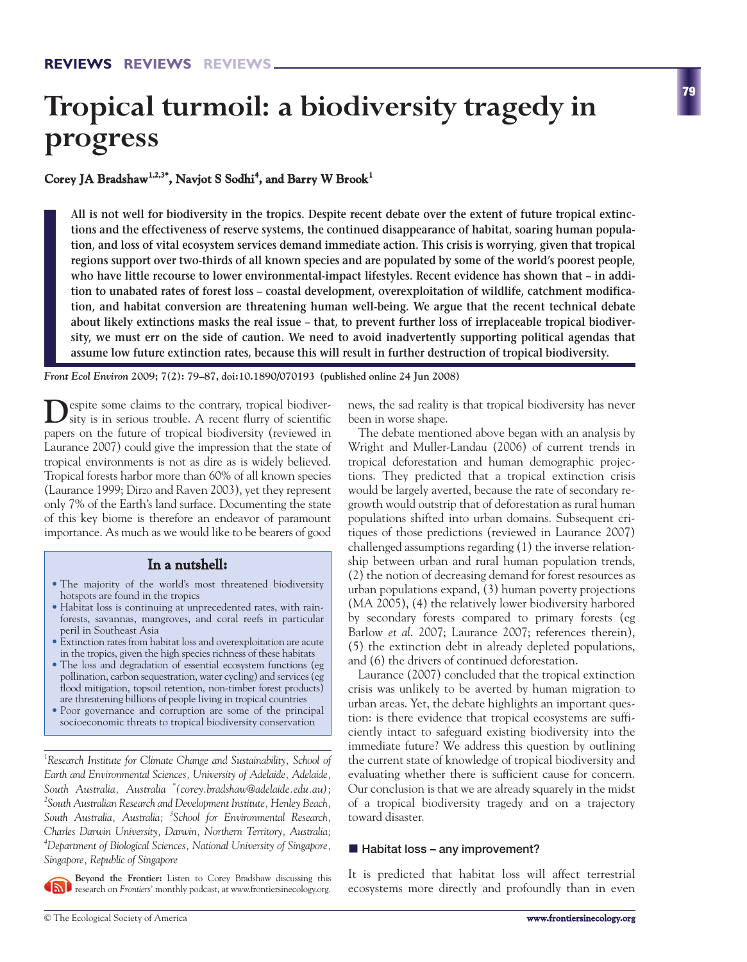# **Tropical turmoil: a biodiversity tragedy in progress**

#### **Corey JA Bradshaw1,2,3\* , Navjot S Sodhi 4 , and Barry W Brook<sup>1</sup>**

**All is not well for biodiversity in the tropics. Despite recent debate over the extent of future tropical extinctions and the effectiveness of reserve systems, the continued disappearance of habitat, soaring human population, and loss of vital ecosystem services demand immediate action. This crisis is worrying, given that tropical regions support over two-thirds of all known species and are populated by some of the world's poorest people, who have little recourse to lower environmental-impact lifestyles. Recent evidence has shown that – in addition to unabated rates of forest loss – coastal development, overexploitation of wildlife, catchment modification, and habitat conversion are threatening human well-being. We argue that the recent technical debate about likely extinctions masks the real issue – that, to prevent further loss of irreplaceable tropical biodiversity, we must err on the side of caution. We need to avoid inadvertently supporting political agendas that assume low future extinction rates, because this will result in further destruction of tropical biodiversity.** 

*Front Ecol Environ* **2009; 7(2): 79–87, doi:10.1890/070193 (published online 24 Jun 2008)**

 $\sum$ espite some claims to the contrary, tropical biodiver-<br>sity is in serious trouble. A recent flurry of scientific papers on the future of tropical biodiversity (reviewed in Laurance 2007) could give the impression that the state of tropical environments is not as dire as is widely believed. Tropical forests harbor more than 60% of all known species (Laurance 1999; Dirzo and Raven 2003), yet they represent only 7% of the Earth's land surface. Documenting the state of this key biome is therefore an endeavor of paramount importance. As much as we would like to be bearers of good

#### **In a nutshell:**

- The majority of the world's most threatened biodiversity hotspots are found in the tropics
- Habitat loss is continuing at unprecedented rates, with rainforests, savannas, mangroves, and coral reefs in particular peril in Southeast Asia
- Extinction rates from habitat loss and overexploitation are acute in the tropics, given the high species richness of these habitats
- The loss and degradation of essential ecosystem functions (eg pollination, carbon sequestration, water cycling) and services (eg flood mitigation, topsoil retention, non-timber forest products) are threatening billions of people living in tropical countries
- Poor governance and corruption are some of the principal socioeconomic threats to tropical biodiversity conservation

*1 Research Institute for Climate Change and Sustainability, School of Earth and Environmental Sciences, University of Adelaide, Adelaide, South Australia, Australia \* (corey.bradshaw@adelaide.edu.au); 2 South Australian Research and Development Institute, Henley Beach, South Australia, Australia; <sup>3</sup> School for Environmental Research, Charles Darwin University, Darwin, Northern Territory, Australia; 4 Department of Biological Sciences, National University of Singapore, Singapore, Republic of Singapore*

**Beyond the Frontier:** Listen to Corey Bradshaw discussing this research on *Frontiers'* monthly podcast, at www.frontiersinecology.org.

news, the sad reality is that tropical biodiversity has never been in worse shape.

The debate mentioned above began with an analysis by Wright and Muller-Landau (2006) of current trends in tropical deforestation and human demographic projections. They predicted that a tropical extinction crisis would be largely averted, because the rate of secondary regrowth would outstrip that of deforestation as rural human populations shifted into urban domains. Subsequent critiques of those predictions (reviewed in Laurance 2007) challenged assumptions regarding (1) the inverse relationship between urban and rural human population trends, (2) the notion of decreasing demand for forest resources as urban populations expand, (3) human poverty projections (MA 2005), (4) the relatively lower biodiversity harbored by secondary forests compared to primary forests (eg Barlow *et al*. 2007; Laurance 2007; references therein), (5) the extinction debt in already depleted populations, and (6) the drivers of continued deforestation.

Laurance (2007) concluded that the tropical extinction crisis was unlikely to be averted by human migration to urban areas. Yet, the debate highlights an important question: is there evidence that tropical ecosystems are sufficiently intact to safeguard existing biodiversity into the immediate future? We address this question by outlining the current state of knowledge of tropical biodiversity and evaluating whether there is sufficient cause for concern. Our conclusion is that we are already squarely in the midst of a tropical biodiversity tragedy and on a trajectory toward disaster.

## - **Habitat loss – any improvement?**

It is predicted that habitat loss will affect terrestrial ecosystems more directly and profoundly than in even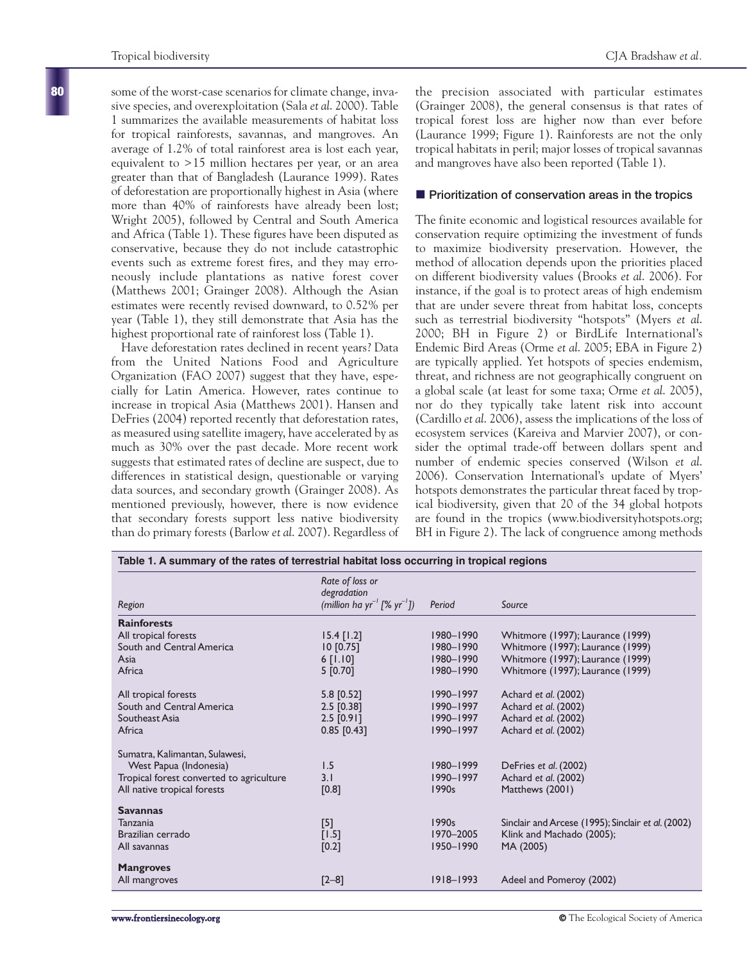some of the worst-case scenarios for climate change, invasive species, and overexploitation (Sala *et al*. 2000). Table 1 summarizes the available measurements of habitat loss for tropical rainforests, savannas, and mangroves. An average of 1.2% of total rainforest area is lost each year, equivalent to >15 million hectares per year, or an area greater than that of Bangladesh (Laurance 1999). Rates of deforestation are proportionally highest in Asia (where more than 40% of rainforests have already been lost; Wright 2005), followed by Central and South America and Africa (Table 1). These figures have been disputed as conservative, because they do not include catastrophic events such as extreme forest fires, and they may erroneously include plantations as native forest cover (Matthews 2001; Grainger 2008). Although the Asian estimates were recently revised downward, to 0.52% per year (Table 1), they still demonstrate that Asia has the highest proportional rate of rainforest loss (Table 1).

Have deforestation rates declined in recent years? Data from the United Nations Food and Agriculture Organization (FAO 2007) suggest that they have, especially for Latin America. However, rates continue to increase in tropical Asia (Matthews 2001). Hansen and DeFries (2004) reported recently that deforestation rates, as measured using satellite imagery, have accelerated by as much as 30% over the past decade. More recent work suggests that estimated rates of decline are suspect, due to differences in statistical design, questionable or varying data sources, and secondary growth (Grainger 2008). As mentioned previously, however, there is now evidence that secondary forests support less native biodiversity than do primary forests (Barlow *et al*. 2007). Regardless of the precision associated with particular estimates (Grainger 2008), the general consensus is that rates of tropical forest loss are higher now than ever before (Laurance 1999; Figure 1). Rainforests are not the only tropical habitats in peril; major losses of tropical savannas and mangroves have also been reported (Table 1).

## $\blacksquare$  Prioritization of conservation areas in the tropics

The finite economic and logistical resources available for conservation require optimizing the investment of funds to maximize biodiversity preservation. However, the method of allocation depends upon the priorities placed on different biodiversity values (Brooks *et al*. 2006). For instance, if the goal is to protect areas of high endemism that are under severe threat from habitat loss, concepts such as terrestrial biodiversity "hotspots" (Myers *et al*. 2000; BH in Figure 2) or BirdLife International's Endemic Bird Areas (Orme *et al*. 2005; EBA in Figure 2) are typically applied. Yet hotspots of species endemism, threat, and richness are not geographically congruent on a global scale (at least for some taxa; Orme *et al*. 2005), nor do they typically take latent risk into account (Cardillo *et al*. 2006), assess the implications of the loss of ecosystem services (Kareiva and Marvier 2007), or consider the optimal trade-off between dollars spent and number of endemic species conserved (Wilson *et al*. 2006). Conservation International's update of Myers' hotspots demonstrates the particular threat faced by tropical biodiversity, given that 20 of the 34 global hotpots are found in the tropics (www.biodiversityhotspots.org; BH in Figure 2). The lack of congruence among methods

| Table 1. A summary of the rates of terrestrial habitat loss occurring in tropical regions |                                                                                       |               |                                                    |  |  |  |
|-------------------------------------------------------------------------------------------|---------------------------------------------------------------------------------------|---------------|----------------------------------------------------|--|--|--|
| Region                                                                                    | Rate of loss or<br>degradation<br>(million ha yr <sup>-1</sup> [% yr <sup>-1</sup> ]) | Period        | Source                                             |  |  |  |
| <b>Rainforests</b>                                                                        |                                                                                       |               |                                                    |  |  |  |
| All tropical forests                                                                      | $15.4$ [1.2]                                                                          | 1980-1990     | Whitmore (1997); Laurance (1999)                   |  |  |  |
| South and Central America                                                                 | [0.75]                                                                                | 1980-1990     | Whitmore (1997); Laurance (1999)                   |  |  |  |
| Asia                                                                                      | $6$ [1.10]                                                                            | 1980-1990     | Whitmore (1997); Laurance (1999)                   |  |  |  |
| Africa                                                                                    | 5 [0.70]                                                                              | 1980-1990     | Whitmore (1997); Laurance (1999)                   |  |  |  |
| All tropical forests                                                                      | $5.8$ [0.52]                                                                          | $1990 - 1997$ | Achard et al. (2002)                               |  |  |  |
| South and Central America                                                                 | $2.5$ [0.38]                                                                          | 1990-1997     | Achard et al. (2002)                               |  |  |  |
| Southeast Asia                                                                            | $2.5$ [0.91]                                                                          | $1990 - 1997$ | Achard et al. (2002)                               |  |  |  |
| Africa                                                                                    | $0.85$ [0.43]                                                                         | $1990 - 1997$ | Achard et al. (2002)                               |  |  |  |
| Sumatra, Kalimantan, Sulawesi,                                                            |                                                                                       |               |                                                    |  |  |  |
| West Papua (Indonesia)                                                                    | 1.5                                                                                   | 1980-1999     | DeFries et al. (2002)                              |  |  |  |
| Tropical forest converted to agriculture                                                  | 3.1                                                                                   | 1990-1997     | Achard et al. (2002)                               |  |  |  |
| All native tropical forests                                                               | $[0.8]$                                                                               | 1990s         | Matthews (2001)                                    |  |  |  |
| <b>Savannas</b>                                                                           |                                                                                       |               |                                                    |  |  |  |
| Tanzania                                                                                  | $[5]$                                                                                 | 1990s         | Sinclair and Arcese (1995); Sinclair et al. (2002) |  |  |  |
| Brazilian cerrado                                                                         | $[1.5]$                                                                               | 1970-2005     | Klink and Machado (2005);                          |  |  |  |
| All savannas                                                                              | $[0.2]$                                                                               | 1950-1990     | MA (2005)                                          |  |  |  |
| <b>Mangroves</b>                                                                          |                                                                                       |               |                                                    |  |  |  |
| All mangroves                                                                             | $[2 - 8]$                                                                             | $1918 - 1993$ | Adeel and Pomeroy (2002)                           |  |  |  |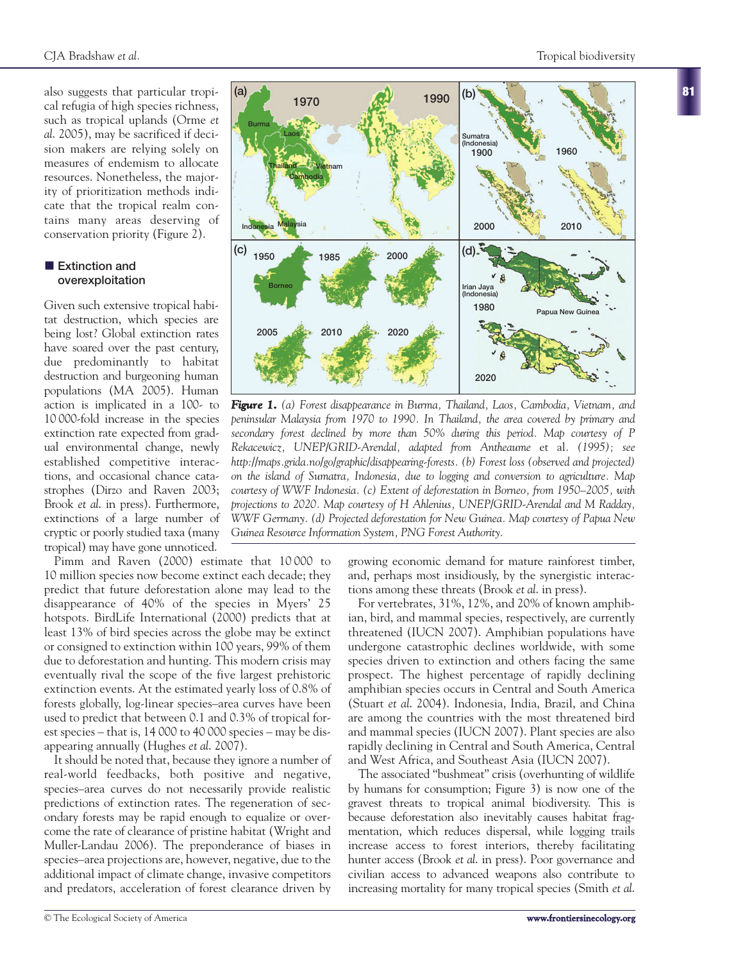also suggests that particular tropical refugia of high species richness, such as tropical uplands (Orme *et al*. 2005), may be sacrificed if decision makers are relying solely on measures of endemism to allocate resources. Nonetheless, the majority of prioritization methods indicate that the tropical realm contains many areas deserving of conservation priority (Figure 2).

#### **Extinction and overexploitation**

Given such extensive tropical habitat destruction, which species are being lost? Global extinction rates have soared over the past century, due predominantly to habitat destruction and burgeoning human populations (MA 2005). Human action is implicated in a 100- to 10 000-fold increase in the species extinction rate expected from gradual environmental change, newly established competitive interactions, and occasional chance catastrophes (Dirzo and Raven 2003; Brook *et al*. in press). Furthermore, extinctions of a large number of cryptic or poorly studied taxa (many tropical) may have gone unnoticed.

Pimm and Raven (2000) estimate that 10 000 to 10 million species now become extinct each decade; they predict that future deforestation alone may lead to the disappearance of 40% of the species in Myers' 25 hotspots. BirdLife International (2000) predicts that at least 13% of bird species across the globe may be extinct or consigned to extinction within 100 years, 99% of them due to deforestation and hunting. This modern crisis may eventually rival the scope of the five largest prehistoric extinction events. At the estimated yearly loss of 0.8% of forests globally, log-linear species–area curves have been used to predict that between 0.1 and 0.3% of tropical forest species – that is, 14 000 to 40 000 species – may be disappearing annually (Hughes *et al*. 2007).

It should be noted that, because they ignore a number of real-world feedbacks, both positive and negative, species–area curves do not necessarily provide realistic predictions of extinction rates. The regeneration of secondary forests may be rapid enough to equalize or overcome the rate of clearance of pristine habitat (Wright and Muller-Landau 2006). The preponderance of biases in species–area projections are, however, negative, due to the additional impact of climate change, invasive competitors and predators, acceleration of forest clearance driven by



For vertebrates, 31%, 12%, and 20% of known amphibian, bird, and mammal species, respectively, are currently threatened (IUCN 2007). Amphibian populations have undergone catastrophic declines worldwide, with some species driven to extinction and others facing the same prospect. The highest percentage of rapidly declining amphibian species occurs in Central and South America (Stuart *et al*. 2004). Indonesia, India, Brazil, and China are among the countries with the most threatened bird and mammal species (IUCN 2007). Plant species are also rapidly declining in Central and South America, Central and West Africa, and Southeast Asia (IUCN 2007).

The associated "bushmeat" crisis (overhunting of wildlife by humans for consumption; Figure 3) is now one of the gravest threats to tropical animal biodiversity. This is because deforestation also inevitably causes habitat fragmentation, which reduces dispersal, while logging trails increase access to forest interiors, thereby facilitating hunter access (Brook *et al*. in press). Poor governance and civilian access to advanced weapons also contribute to increasing mortality for many tropical species (Smith *et al*. **81**



*peninsular Malaysia from 1970 to 1990. In Thailand, the area covered by primary and secondary forest declined by more than 50% during this period. Map courtesy of P Rekacewicz, UNEP/GRID-Arendal, adapted from Antheaume* et al*. (1995); see http://maps.grida.no/go/graphic/disappearing-forests. (b) Forest loss (observed and projected) on the island of Sumatra, Indonesia, due to logging and conversion to agriculture. Map courtesy of WWF Indonesia. (c) Extent of deforestation in Borneo, from 1950–2005, with projections to 2020. Map courtesy of H Ahlenius, UNEP/GRID-Arendal and M Radday, WWF Germany. (d) Projected deforestation for New Guinea. Map courtesy of Papua New Guinea Resource Information System, PNG Forest Authority.*

*Figure 1. (a) Forest disappearance in Burma, Thailand, Laos, Cambodia, Vietnam, and*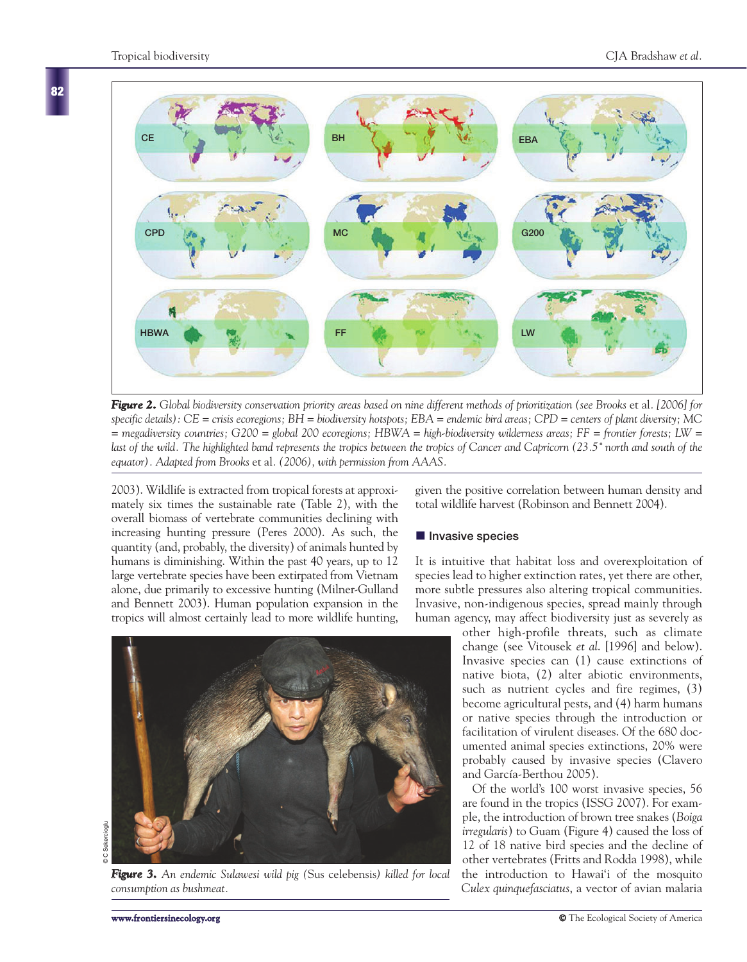**82**



*Figure 2. Global biodiversity conservation priority areas based on nine different methods of prioritization (see Brooks* et al*. [2006] for specific details): CE = crisis ecoregions; BH = biodiversity hotspots; EBA = endemic bird areas; CPD = centers of plant diversity; MC = megadiversity countries; G200 = global 200 ecoregions; HBWA = high-biodiversity wilderness areas; FF = frontier forests; LW = last of the wild. The highlighted band represents the tropics between the tropics of Cancer and Capricorn (23.5˚ north and south of the equator). Adapted from Brooks* et al*. (2006), with permission from AAAS.*

2003). Wildlife is extracted from tropical forests at approximately six times the sustainable rate (Table 2), with the overall biomass of vertebrate communities declining with increasing hunting pressure (Peres 2000). As such, the quantity (and, probably, the diversity) of animals hunted by humans is diminishing. Within the past 40 years, up to 12 large vertebrate species have been extirpated from Vietnam alone, due primarily to excessive hunting (Milner-Gulland and Bennett 2003). Human population expansion in the tropics will almost certainly lead to more wildlife hunting,

*Figure 3. An endemic Sulawesi wild pig (*Sus celebensis*) killed for local consumption as bushmeat.*

given the positive correlation between human density and total wildlife harvest (Robinson and Bennett 2004).

## $\blacksquare$  Invasive species

It is intuitive that habitat loss and overexploitation of species lead to higher extinction rates, yet there are other, more subtle pressures also altering tropical communities. Invasive, non-indigenous species, spread mainly through human agency, may affect biodiversity just as severely as

other high-profile threats, such as climate change (see Vitousek *et al*. [1996] and below). Invasive species can (1) cause extinctions of native biota, (2) alter abiotic environments, such as nutrient cycles and fire regimes, (3) become agricultural pests, and (4) harm humans or native species through the introduction or facilitation of virulent diseases. Of the 680 documented animal species extinctions, 20% were probably caused by invasive species (Clavero and García-Berthou 2005).

Of the world's 100 worst invasive species, 56 are found in the tropics (ISSG 2007). For example, the introduction of brown tree snakes (*Boiga irregularis*) to Guam (Figure 4) caused the loss of 12 of 18 native bird species and the decline of other vertebrates (Fritts and Rodda 1998), while the introduction to Hawai'i of the mosquito *Culex quinquefasciatus*, a vector of avian malaria

**C** Sekercioglu © C Sekercioglu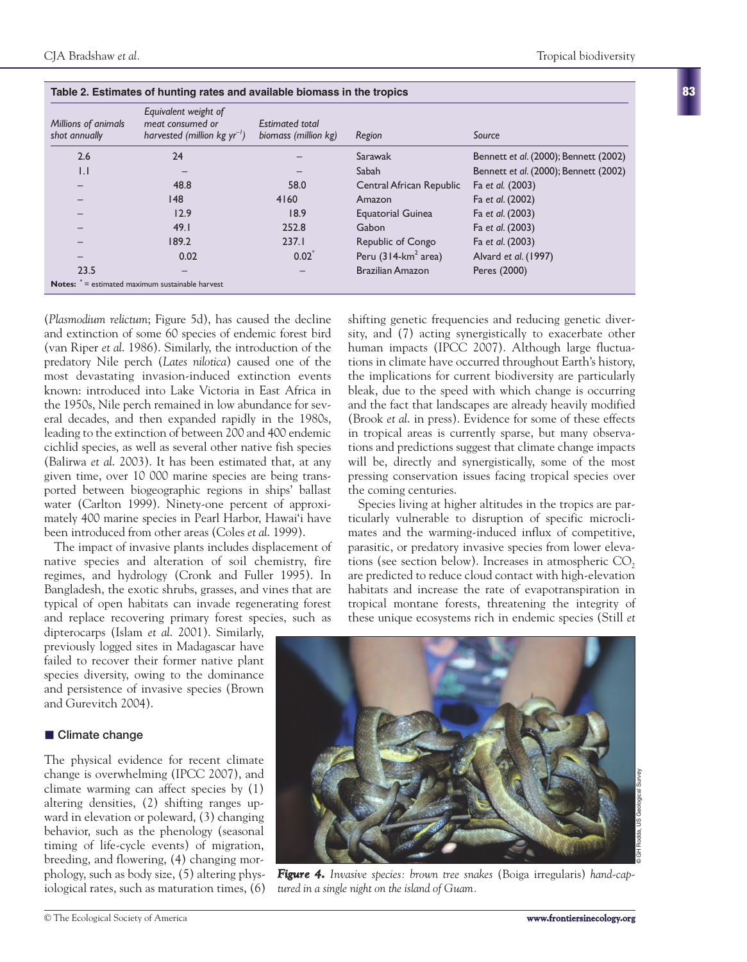| Millions of animals<br>shot annually | Equivalent weight of<br>megt consumed or<br>harvested (million $kg yr^{-1}$ ) | <b>Estimated total</b><br>biomass (million kg) | Region                             | Source                                |
|--------------------------------------|-------------------------------------------------------------------------------|------------------------------------------------|------------------------------------|---------------------------------------|
| 2.6                                  | 24                                                                            |                                                | Sarawak                            | Bennett et al. (2000); Bennett (2002) |
| $\vert . \vert$                      |                                                                               |                                                | Sabah                              | Bennett et al. (2000); Bennett (2002) |
|                                      | 48.8                                                                          | 58.0                                           | Central African Republic           | Fa et al. (2003)                      |
|                                      | 148                                                                           | 4160                                           | Amazon                             | Fa et al. (2002)                      |
|                                      | 12.9                                                                          | 18.9                                           | <b>Equatorial Guinea</b>           | Fa et al. (2003)                      |
|                                      | 49.1                                                                          | 252.8                                          | Gabon                              | Fa et al. (2003)                      |
|                                      | 189.2                                                                         | 237.1                                          | Republic of Congo                  | Fa et al. (2003)                      |
|                                      | 0.02                                                                          | $0.02^*$                                       | Peru $(314$ -km <sup>2</sup> area) | Alvard et al. (1997)                  |
| 23.5                                 |                                                                               |                                                | <b>Brazilian Amazon</b>            | Peres (2000)                          |
|                                      | <b>Notes:</b> $e^*$ = estimated maximum sustainable harvest                   |                                                |                                    |                                       |

(*Plasmodium relictum*; Figure 5d), has caused the decline and extinction of some 60 species of endemic forest bird (van Riper *et al*. 1986). Similarly, the introduction of the predatory Nile perch (*Lates nilotica*) caused one of the most devastating invasion-induced extinction events known: introduced into Lake Victoria in East Africa in the 1950s, Nile perch remained in low abundance for several decades, and then expanded rapidly in the 1980s, leading to the extinction of between 200 and 400 endemic cichlid species, as well as several other native fish species (Balirwa *et al*. 2003). It has been estimated that, at any given time, over 10 000 marine species are being transported between biogeographic regions in ships' ballast water (Carlton 1999). Ninety-one percent of approximately 400 marine species in Pearl Harbor, Hawai'i have been introduced from other areas (Coles *et al*. 1999).

**Table 2. Estimates of hunting rates and available biomass in the tropics** 

The impact of invasive plants includes displacement of native species and alteration of soil chemistry, fire regimes, and hydrology (Cronk and Fuller 1995). In Bangladesh, the exotic shrubs, grasses, and vines that are typical of open habitats can invade regenerating forest and replace recovering primary forest species, such as

dipterocarps (Islam *et al*. 2001). Similarly, previously logged sites in Madagascar have failed to recover their former native plant species diversity, owing to the dominance and persistence of invasive species (Brown and Gurevitch 2004).

## $\blacksquare$  Climate change

The physical evidence for recent climate change is overwhelming (IPCC 2007), and climate warming can affect species by (1) altering densities, (2) shifting ranges upward in elevation or poleward, (3) changing behavior, such as the phenology (seasonal timing of life-cycle events) of migration, breeding, and flowering, (4) changing morphology, such as body size, (5) altering physiological rates, such as maturation times, (6)

shifting genetic frequencies and reducing genetic diversity, and (7) acting synergistically to exacerbate other human impacts (IPCC 2007). Although large fluctuations in climate have occurred throughout Earth's history, the implications for current biodiversity are particularly bleak, due to the speed with which change is occurring and the fact that landscapes are already heavily modified (Brook *et al*. in press). Evidence for some of these effects in tropical areas is currently sparse, but many observations and predictions suggest that climate change impacts will be, directly and synergistically, some of the most pressing conservation issues facing tropical species over the coming centuries.

Species living at higher altitudes in the tropics are particularly vulnerable to disruption of specific microclimates and the warming-induced influx of competitive, parasitic, or predatory invasive species from lower elevations (see section below). Increases in atmospheric  $CO<sub>2</sub>$ are predicted to reduce cloud contact with high-elevation habitats and increase the rate of evapotranspiration in tropical montane forests, threatening the integrity of these unique ecosystems rich in endemic species (Still *et*



*Figure 4. Invasive species: brown tree snakes* (Boiga irregularis) *hand-captured in a single night on the island of Guam.*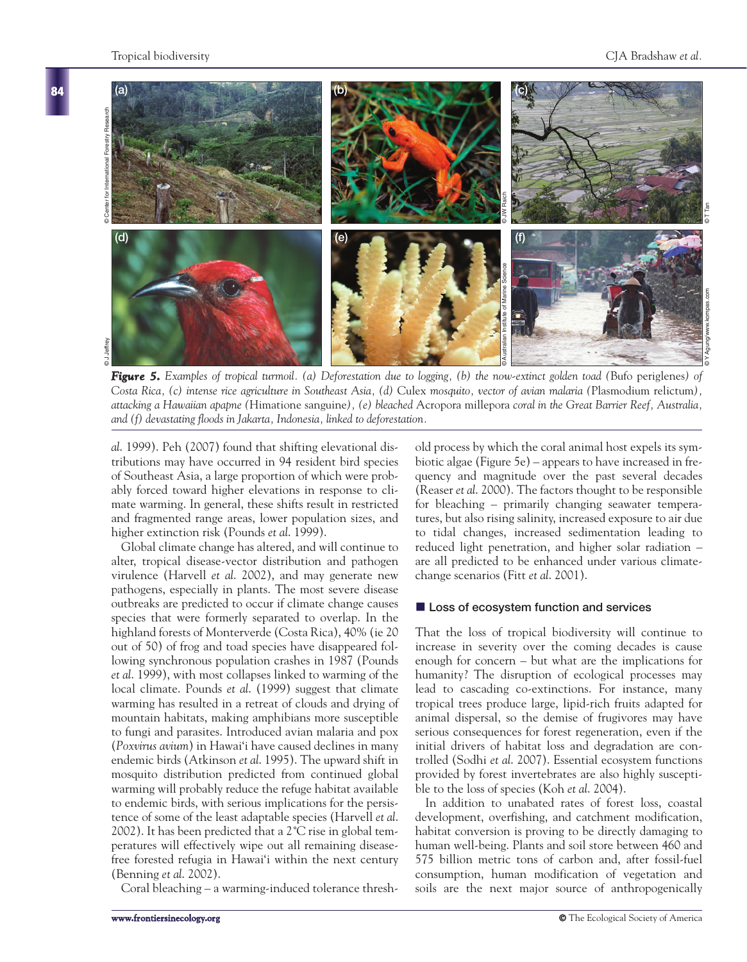

*Figure 5. Examples of tropical turmoil. (a) Deforestation due to logging, (b) the now-extinct golden toad (*Bufo periglenes*) of Costa Rica, (c) intense rice agriculture in Southeast Asia, (d)* Culex *mosquito, vector of avian malaria (*Plasmodium relictum*), attacking a Hawaiian apapne (*Himatione sanguine*), (e) bleached* Acropora millepora *coral in the Great Barrier Reef, Australia, and (f) devastating floods in Jakarta, Indonesia, linked to deforestation.*

*al*. 1999). Peh (2007) found that shifting elevational distributions may have occurred in 94 resident bird species of Southeast Asia, a large proportion of which were probably forced toward higher elevations in response to climate warming. In general, these shifts result in restricted and fragmented range areas, lower population sizes, and higher extinction risk (Pounds *et al*. 1999).

Global climate change has altered, and will continue to alter, tropical disease-vector distribution and pathogen virulence (Harvell *et al*. 2002), and may generate new pathogens, especially in plants. The most severe disease outbreaks are predicted to occur if climate change causes species that were formerly separated to overlap. In the highland forests of Monterverde (Costa Rica), 40% (ie 20 out of 50) of frog and toad species have disappeared following synchronous population crashes in 1987 (Pounds *et al*. 1999), with most collapses linked to warming of the local climate. Pounds *et al*. (1999) suggest that climate warming has resulted in a retreat of clouds and drying of mountain habitats, making amphibians more susceptible to fungi and parasites. Introduced avian malaria and pox (*Poxvirus avium*) in Hawai'i have caused declines in many endemic birds (Atkinson *et al*. 1995). The upward shift in mosquito distribution predicted from continued global warming will probably reduce the refuge habitat available to endemic birds, with serious implications for the persistence of some of the least adaptable species (Harvell *et al*. 2002). It has been predicted that a 2˚C rise in global temperatures will effectively wipe out all remaining diseasefree forested refugia in Hawai'i within the next century (Benning *et al*. 2002).

Coral bleaching – a warming-induced tolerance thresh-

old process by which the coral animal host expels its symbiotic algae (Figure 5e) – appears to have increased in frequency and magnitude over the past several decades (Reaser *et al*. 2000). The factors thought to be responsible for bleaching – primarily changing seawater temperatures, but also rising salinity, increased exposure to air due to tidal changes, increased sedimentation leading to reduced light penetration, and higher solar radiation – are all predicted to be enhanced under various climatechange scenarios (Fitt *et al*. 2001).

## $\blacksquare$  Loss of ecosystem function and services

That the loss of tropical biodiversity will continue to increase in severity over the coming decades is cause enough for concern – but what are the implications for humanity? The disruption of ecological processes may lead to cascading co-extinctions. For instance, many tropical trees produce large, lipid-rich fruits adapted for animal dispersal, so the demise of frugivores may have serious consequences for forest regeneration, even if the initial drivers of habitat loss and degradation are controlled (Sodhi *et al*. 2007). Essential ecosystem functions provided by forest invertebrates are also highly susceptible to the loss of species (Koh *et al*. 2004).

In addition to unabated rates of forest loss, coastal development, overfishing, and catchment modification, habitat conversion is proving to be directly damaging to human well-being. Plants and soil store between 460 and 575 billion metric tons of carbon and, after fossil-fuel consumption, human modification of vegetation and soils are the next major source of anthropogenically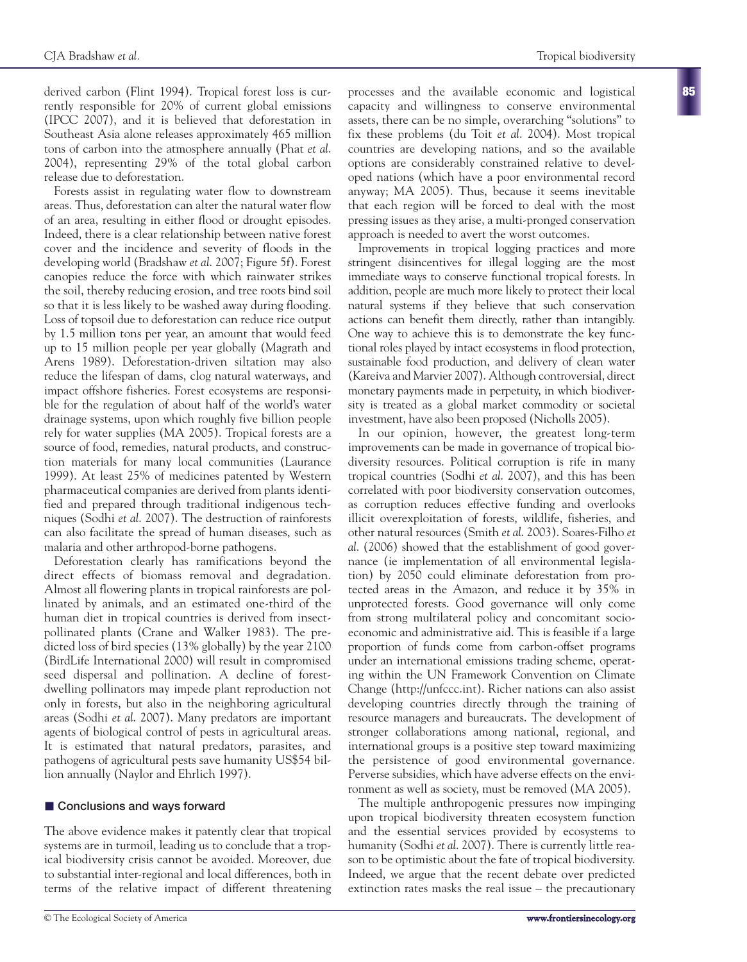derived carbon (Flint 1994). Tropical forest loss is currently responsible for 20% of current global emissions (IPCC 2007), and it is believed that deforestation in Southeast Asia alone releases approximately 465 million tons of carbon into the atmosphere annually (Phat *et al*. 2004), representing 29% of the total global carbon release due to deforestation.

Forests assist in regulating water flow to downstream areas. Thus, deforestation can alter the natural water flow of an area, resulting in either flood or drought episodes. Indeed, there is a clear relationship between native forest cover and the incidence and severity of floods in the developing world (Bradshaw *et al*. 2007; Figure 5f). Forest canopies reduce the force with which rainwater strikes the soil, thereby reducing erosion, and tree roots bind soil so that it is less likely to be washed away during flooding. Loss of topsoil due to deforestation can reduce rice output by 1.5 million tons per year, an amount that would feed up to 15 million people per year globally (Magrath and Arens 1989). Deforestation-driven siltation may also reduce the lifespan of dams, clog natural waterways, and impact offshore fisheries. Forest ecosystems are responsible for the regulation of about half of the world's water drainage systems, upon which roughly five billion people rely for water supplies (MA 2005). Tropical forests are a source of food, remedies, natural products, and construction materials for many local communities (Laurance 1999). At least 25% of medicines patented by Western pharmaceutical companies are derived from plants identified and prepared through traditional indigenous techniques (Sodhi *et al*. 2007). The destruction of rainforests can also facilitate the spread of human diseases, such as malaria and other arthropod-borne pathogens.

Deforestation clearly has ramifications beyond the direct effects of biomass removal and degradation. Almost all flowering plants in tropical rainforests are pollinated by animals, and an estimated one-third of the human diet in tropical countries is derived from insectpollinated plants (Crane and Walker 1983). The predicted loss of bird species (13% globally) by the year 2100 (BirdLife International 2000) will result in compromised seed dispersal and pollination. A decline of forestdwelling pollinators may impede plant reproduction not only in forests, but also in the neighboring agricultural areas (Sodhi *et al*. 2007). Many predators are important agents of biological control of pests in agricultural areas. It is estimated that natural predators, parasites, and pathogens of agricultural pests save humanity US\$54 billion annually (Naylor and Ehrlich 1997).

## **E** Conclusions and ways forward

The above evidence makes it patently clear that tropical systems are in turmoil, leading us to conclude that a tropical biodiversity crisis cannot be avoided. Moreover, due to substantial inter-regional and local differences, both in terms of the relative impact of different threatening

processes and the available economic and logistical capacity and willingness to conserve environmental assets, there can be no simple, overarching "solutions" to fix these problems (du Toit *et al*. 2004). Most tropical countries are developing nations, and so the available options are considerably constrained relative to developed nations (which have a poor environmental record anyway; MA 2005). Thus, because it seems inevitable that each region will be forced to deal with the most pressing issues as they arise, a multi-pronged conservation approach is needed to avert the worst outcomes.

Improvements in tropical logging practices and more stringent disincentives for illegal logging are the most immediate ways to conserve functional tropical forests. In addition, people are much more likely to protect their local natural systems if they believe that such conservation actions can benefit them directly, rather than intangibly. One way to achieve this is to demonstrate the key functional roles played by intact ecosystems in flood protection, sustainable food production, and delivery of clean water (Kareiva and Marvier 2007). Although controversial, direct monetary payments made in perpetuity, in which biodiversity is treated as a global market commodity or societal investment, have also been proposed (Nicholls 2005).

In our opinion, however, the greatest long-term improvements can be made in governance of tropical biodiversity resources. Political corruption is rife in many tropical countries (Sodhi *et al*. 2007), and this has been correlated with poor biodiversity conservation outcomes, as corruption reduces effective funding and overlooks illicit overexploitation of forests, wildlife, fisheries, and other natural resources (Smith *et al*. 2003). Soares-Filho *et al*. (2006) showed that the establishment of good governance (ie implementation of all environmental legislation) by 2050 could eliminate deforestation from protected areas in the Amazon, and reduce it by 35% in unprotected forests. Good governance will only come from strong multilateral policy and concomitant socioeconomic and administrative aid. This is feasible if a large proportion of funds come from carbon-offset programs under an international emissions trading scheme, operating within the UN Framework Convention on Climate Change (http://unfccc.int). Richer nations can also assist developing countries directly through the training of resource managers and bureaucrats. The development of stronger collaborations among national, regional, and international groups is a positive step toward maximizing the persistence of good environmental governance. Perverse subsidies, which have adverse effects on the environment as well as society, must be removed (MA 2005).

The multiple anthropogenic pressures now impinging upon tropical biodiversity threaten ecosystem function and the essential services provided by ecosystems to humanity (Sodhi *et al*. 2007). There is currently little reason to be optimistic about the fate of tropical biodiversity. Indeed, we argue that the recent debate over predicted extinction rates masks the real issue – the precautionary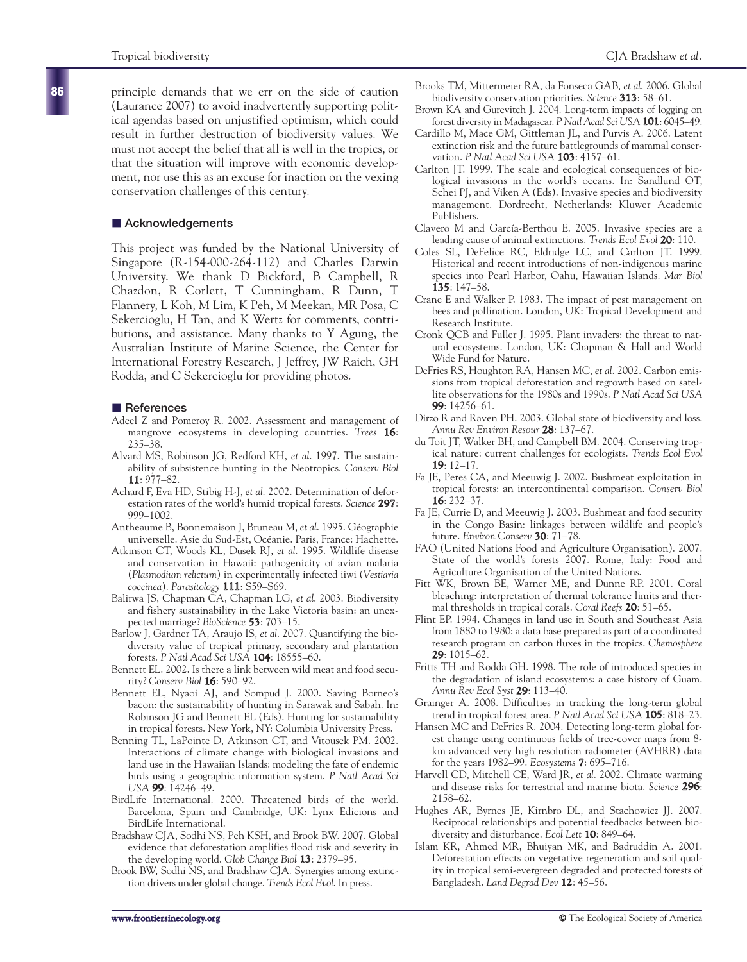principle demands that we err on the side of caution (Laurance 2007) to avoid inadvertently supporting political agendas based on unjustified optimism, which could result in further destruction of biodiversity values. We must not accept the belief that all is well in the tropics, or that the situation will improve with economic development, nor use this as an excuse for inaction on the vexing conservation challenges of this century.

## $\blacksquare$  Acknowledgements

This project was funded by the National University of Singapore (R-154-000-264-112) and Charles Darwin University. We thank D Bickford, B Campbell, R Chazdon, R Corlett, T Cunningham, R Dunn, T Flannery, L Koh, M Lim, K Peh, M Meekan, MR Posa, C Sekercioglu, H Tan, and K Wertz for comments, contributions, and assistance. Many thanks to Y Agung, the Australian Institute of Marine Science, the Center for International Forestry Research, J Jeffrey, JW Raich, GH Rodda, and C Sekercioglu for providing photos.

## $\blacksquare$  References

- Adeel Z and Pomeroy R. 2002. Assessment and management of mangrove ecosystems in developing countries. *Trees* **16**: 235–38.
- Alvard MS, Robinson JG, Redford KH, *et al*. 1997. The sustainability of subsistence hunting in the Neotropics. *Conserv Biol* **11**: 977–82.
- Achard F, Eva HD, Stibig H-J, *et al*. 2002. Determination of deforestation rates of the world's humid tropical forests. *Science* **297**: 999–1002.
- Antheaume B, Bonnemaison J, Bruneau M, *et al*. 1995. Géographie universelle. Asie du Sud-Est, Océanie. Paris, France: Hachette.
- Atkinson CT, Woods KL, Dusek RJ, *et al*. 1995. Wildlife disease and conservation in Hawaii: pathogenicity of avian malaria (*Plasmodium relictum*) in experimentally infected iiwi (*Vestiaria coccinea*). *Parasitology* **111**: S59–S69.
- Balirwa JS, Chapman CA, Chapman LG, *et al*. 2003. Biodiversity and fishery sustainability in the Lake Victoria basin: an unexpected marriage? *BioScience* **53**: 703–15.
- Barlow J, Gardner TA, Araujo IS, *et al*. 2007. Quantifying the biodiversity value of tropical primary, secondary and plantation forests. *P Natl Acad Sci USA* **104**: 18555–60.
- Bennett EL. 2002. Is there a link between wild meat and food security? *Conserv Biol* **16**: 590–92.
- Bennett EL, Nyaoi AJ, and Sompud J. 2000. Saving Borneo's bacon: the sustainability of hunting in Sarawak and Sabah. In: Robinson JG and Bennett EL (Eds). Hunting for sustainability in tropical forests. New York, NY: Columbia University Press.
- Benning TL, LaPointe D, Atkinson CT, and Vitousek PM. 2002. Interactions of climate change with biological invasions and land use in the Hawaiian Islands: modeling the fate of endemic birds using a geographic information system. *P Natl Acad Sci USA* **99**: 14246–49.
- BirdLife International. 2000. Threatened birds of the world. Barcelona, Spain and Cambridge, UK: Lynx Edicions and BirdLife International.
- Bradshaw CJA, Sodhi NS, Peh KSH, and Brook BW. 2007. Global evidence that deforestation amplifies flood risk and severity in the developing world. *Glob Change Biol* **13**: 2379–95.
- Brook BW, Sodhi NS, and Bradshaw CJA. Synergies among extinction drivers under global change. *Trends Ecol Evol*. In press.
- Brooks TM, Mittermeier RA, da Fonseca GAB, *et al*. 2006. Global biodiversity conservation priorities. *Science* **313**: 58–61.
- Brown KA and Gurevitch J. 2004. Long-term impacts of logging on forest diversity in Madagascar. *P Natl Acad Sci USA* **101**: 6045–49.
- Cardillo M, Mace GM, Gittleman JL, and Purvis A. 2006. Latent extinction risk and the future battlegrounds of mammal conservation. *P Natl Acad Sci USA* **103**: 4157–61.
- Carlton JT. 1999. The scale and ecological consequences of biological invasions in the world's oceans. In: Sandlund OT, Schei PJ, and Viken A (Eds). Invasive species and biodiversity management. Dordrecht, Netherlands: Kluwer Academic Publishers.
- Clavero M and García-Berthou E. 2005. Invasive species are a leading cause of animal extinctions. *Trends Ecol Evol* **20**: 110.
- Coles SL, DeFelice RC, Eldridge LC, and Carlton JT. 1999. Historical and recent introductions of non-indigenous marine species into Pearl Harbor, Oahu, Hawaiian Islands. *Mar Biol* **135**: 147–58.
- Crane E and Walker P. 1983. The impact of pest management on bees and pollination. London, UK: Tropical Development and Research Institute.
- Cronk QCB and Fuller J. 1995. Plant invaders: the threat to natural ecosystems. London, UK: Chapman & Hall and World Wide Fund for Nature.
- DeFries RS, Houghton RA, Hansen MC, *et al*. 2002. Carbon emissions from tropical deforestation and regrowth based on satellite observations for the 1980s and 1990s. *P Natl Acad Sci USA* **99**: 14256–61.
- Dirzo R and Raven PH. 2003. Global state of biodiversity and loss. *Annu Rev Environ Resour* **28**: 137–67.
- du Toit JT, Walker BH, and Campbell BM. 2004. Conserving tropical nature: current challenges for ecologists. *Trends Ecol Evol* **19**: 12–17.
- Fa JE, Peres CA, and Meeuwig J. 2002. Bushmeat exploitation in tropical forests: an intercontinental comparison. *Conserv Biol* **16**: 232–37.
- Fa JE, Currie D, and Meeuwig J. 2003. Bushmeat and food security in the Congo Basin: linkages between wildlife and people's future. *Environ Conserv* **30**: 71–78.
- FAO (United Nations Food and Agriculture Organisation). 2007. State of the world's forests 2007. Rome, Italy: Food and Agriculture Organisation of the United Nations.
- Fitt WK, Brown BE, Warner ME, and Dunne RP. 2001. Coral bleaching: interpretation of thermal tolerance limits and thermal thresholds in tropical corals. *Coral Reefs* **20**: 51–65.
- Flint EP. 1994. Changes in land use in South and Southeast Asia from 1880 to 1980: a data base prepared as part of a coordinated research program on carbon fluxes in the tropics. *Chemosphere* **29**: 1015–62.
- Fritts TH and Rodda GH. 1998. The role of introduced species in the degradation of island ecosystems: a case history of Guam. *Annu Rev Ecol Syst* **29**: 113–40.
- Grainger A. 2008. Difficulties in tracking the long-term global trend in tropical forest area. *P Natl Acad Sci USA* **105**: 818–23.
- Hansen MC and DeFries R. 2004. Detecting long-term global forest change using continuous fields of tree-cover maps from 8 km advanced very high resolution radiometer (AVHRR) data for the years 1982–99. *Ecosystems* **7**: 695–716.
- Harvell CD, Mitchell CE, Ward JR, *et al*. 2002. Climate warming and disease risks for terrestrial and marine biota. *Science* **296**: 2158–62.
- Hughes AR, Byrnes JE, Kirnbro DL, and Stachowicz JJ. 2007. Reciprocal relationships and potential feedbacks between biodiversity and disturbance. *Ecol Lett* **10**: 849–64.
- Islam KR, Ahmed MR, Bhuiyan MK, and Badruddin A. 2001. Deforestation effects on vegetative regeneration and soil quality in tropical semi-evergreen degraded and protected forests of Bangladesh. *Land Degrad Dev* **12**: 45–56.